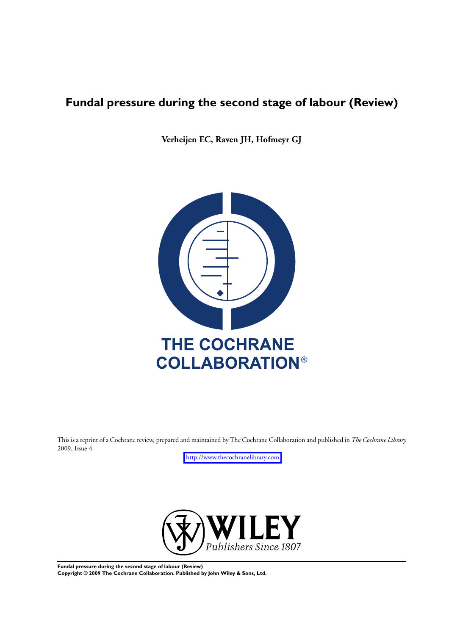# **Fundal pressure during the second stage of labour (Review)**

**Verheijen EC, Raven JH, Hofmeyr GJ**



This is a reprint of a Cochrane review, prepared and maintained by The Cochrane Collaboration and published in *The Cochrane Library* 2009, Issue 4

<http://www.thecochranelibrary.com>



**Fundal pressure during the second stage of labour (Review) Copyright © 2009 The Cochrane Collaboration. Published by John Wiley & Sons, Ltd.**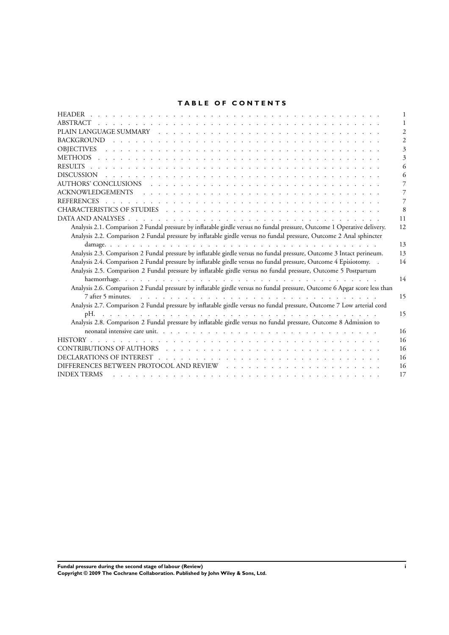# **TABLE OF CONTENTS**

|                                                                                                                            | 2            |
|----------------------------------------------------------------------------------------------------------------------------|--------------|
|                                                                                                                            |              |
|                                                                                                                            |              |
|                                                                                                                            |              |
|                                                                                                                            |              |
|                                                                                                                            |              |
|                                                                                                                            |              |
|                                                                                                                            |              |
|                                                                                                                            |              |
|                                                                                                                            | $\mathbf{8}$ |
|                                                                                                                            | 11           |
| Analysis 2.1. Comparison 2 Fundal pressure by inflatable girdle versus no fundal pressure, Outcome 1 Operative delivery.   | 12           |
| Analysis 2.2. Comparison 2 Fundal pressure by inflatable girdle versus no fundal pressure, Outcome 2 Anal sphincter        |              |
|                                                                                                                            | 13           |
| Analysis 2.3. Comparison 2 Fundal pressure by inflatable girdle versus no fundal pressure, Outcome 3 Intact perineum.      | 13           |
| Analysis 2.4. Comparison 2 Fundal pressure by inflatable girdle versus no fundal pressure, Outcome 4 Episiotomy. .         | 14           |
| Analysis 2.5. Comparison 2 Fundal pressure by inflatable girdle versus no fundal pressure, Outcome 5 Postpartum            |              |
|                                                                                                                            | 14           |
| Analysis 2.6. Comparison 2 Fundal pressure by inflatable girdle versus no fundal pressure, Outcome 6 Apgar score less than |              |
|                                                                                                                            | 15           |
| Analysis 2.7. Comparison 2 Fundal pressure by inflatable girdle versus no fundal pressure, Outcome 7 Low arterial cord     |              |
|                                                                                                                            | 15           |
| Analysis 2.8. Comparison 2 Fundal pressure by inflatable girdle versus no fundal pressure, Outcome 8 Admission to          |              |
|                                                                                                                            | 16           |
|                                                                                                                            | 16           |
| CONTRIBUTIONS OF AUTHORS (et al., et al., et al., et al., et al., et al., et al., et al., et al., et al., et a             | 16           |
|                                                                                                                            | 16           |
|                                                                                                                            | 16           |
| <b>INDEX TERMS</b>                                                                                                         | 17           |

**Fundal pressure during the second stage of labour (Review) i Copyright © 2009 The Cochrane Collaboration. Published by John Wiley & Sons, Ltd.**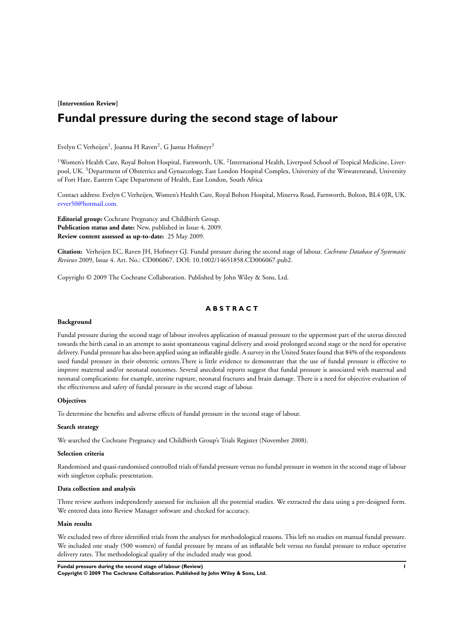**[Intervention Review]**

# **Fundal pressure during the second stage of labour**

Evelyn C Verheijen $^1$ , Joanna H Raven $^2$ , G Justus Hofmeyr $^3$ 

<sup>1</sup>Women's Health Care, Royal Bolton Hospital, Farnworth, UK. <sup>2</sup>International Health, Liverpool School of Tropical Medicine, Liverpool, UK.<sup>3</sup> Department of Obstetrics and Gynaecology, East London Hospital Complex, University of the Witwatersrand, University of Fort Hare, Eastern Cape Department of Health, East London, South Africa

Contact address: Evelyn C Verheijen, Women's Health Care, Royal Bolton Hospital, Minerva Road, Farnworth, Bolton, BL4 0JR, UK. [evver50@hotmail.com](mailto:evver50@hotmail.com).

**Editorial group:** Cochrane Pregnancy and Childbirth Group. **Publication status and date:** New, published in Issue 4, 2009. **Review content assessed as up-to-date:** 25 May 2009.

**Citation:** Verheijen EC, Raven JH, Hofmeyr GJ. Fundal pressure during the second stage of labour. *Cochrane Database of Systematic Reviews* 2009, Issue 4. Art. No.: CD006067. DOI: 10.1002/14651858.CD006067.pub2.

Copyright © 2009 The Cochrane Collaboration. Published by John Wiley & Sons, Ltd.

# **A B S T R A C T**

#### **Background**

Fundal pressure during the second stage of labour involves application of manual pressure to the uppermost part of the uterus directed towards the birth canal in an attempt to assist spontaneous vaginal delivery and avoid prolonged second stage or the need for operative delivery. Fundal pressure has also been applied using an inflatable girdle. A survey in the United States found that 84% of the respondents used fundal pressure in their obstetric centres.There is little evidence to demonstrate that the use of fundal pressure is effective to improve maternal and/or neonatal outcomes. Several anecdotal reports suggest that fundal pressure is associated with maternal and neonatal complications: for example, uterine rupture, neonatal fractures and brain damage. There is a need for objective evaluation of the effectiveness and safety of fundal pressure in the second stage of labour.

### **Objectives**

To determine the benefits and adverse effects of fundal pressure in the second stage of labour.

#### **Search strategy**

We searched the Cochrane Pregnancy and Childbirth Group's Trials Register (November 2008).

#### **Selection criteria**

Randomised and quasi-randomised controlled trials of fundal pressure versus no fundal pressure in women in the second stage of labour with singleton cephalic presentation.

#### **Data collection and analysis**

Three review authors independently assessed for inclusion all the potential studies. We extracted the data using a pre-designed form. We entered data into Review Manager software and checked for accuracy.

#### **Main results**

We excluded two of three identified trials from the analyses for methodological reasons. This left no studies on manual fundal pressure. We included one study (500 women) of fundal pressure by means of an inflatable belt versus no fundal pressure to reduce operative delivery rates. The methodological quality of the included study was good.

**Fundal pressure during the second stage of labour (Review) 1**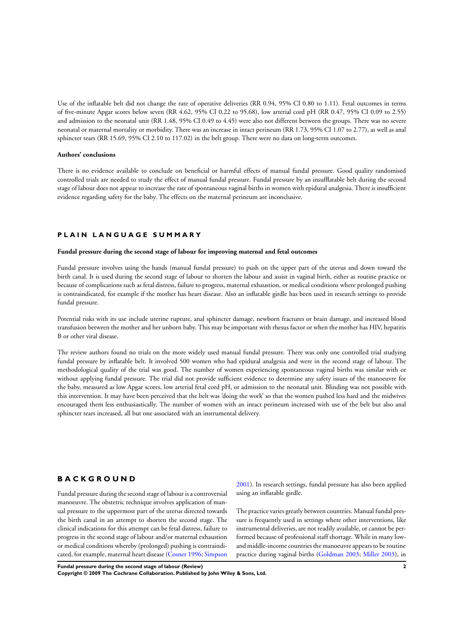Use of the inflatable belt did not change the rate of operative deliveries (RR 0.94, 95% CI 0.80 to 1.11). Fetal outcomes in terms of five-minute Apgar scores below seven (RR 4.62, 95% CI 0.22 to 95.68), low arterial cord pH (RR 0.47, 95% CI 0.09 to 2.55) and admission to the neonatal unit (RR 1.48, 95% CI 0.49 to 4.45) were also not different between the groups. There was no severe neonatal or maternal mortality or morbidity. There was an increase in intact perineum (RR 1.73, 95% CI 1.07 to 2.77), as well as anal sphincter tears (RR 15.69, 95% CI 2.10 to 117.02) in the belt group. There were no data on long-term outcomes.

### **Authors' conclusions**

There is no evidence available to conclude on beneficial or harmful effects of manual fundal pressure. Good quality randomised controlled trials are needed to study the effect of manual fundal pressure. Fundal pressure by an insufflatable belt during the second stage of labour does not appear to increase the rate of spontaneous vaginal births in women with epidural analgesia. There is insufficient evidence regarding safety for the baby. The effects on the maternal perineum are inconclusive.

# **P L A I N L A N G U A G E S U M M A R Y**

### **Fundal pressure during the second stage of labour for improving maternal and fetal outcomes**

Fundal pressure involves using the hands (manual fundal pressure) to push on the upper part of the uterus and down toward the birth canal. It is used during the second stage of labour to shorten the labour and assist in vaginal birth, either as routine practice or because of complications such as fetal distress, failure to progress, maternal exhaustion, or medical conditions where prolonged pushing is contraindicated, for example if the mother has heart disease. Also an inflatable girdle has been used in research settings to provide fundal pressure.

Potential risks with its use include uterine rupture, anal sphincter damage, newborn fractures or brain damage, and increased blood transfusion between the mother and her unborn baby. This may be important with rhesus factor or when the mother has HIV, hepatitis B or other viral disease.

The review authors found no trials on the more widely used manual fundal pressure. There was only one controlled trial studying fundal pressure by inflatable belt. It involved 500 women who had epidural analgesia and were in the second stage of labour. The methodological quality of the trial was good. The number of women experiencing spontaneous vaginal births was similar with or without applying fundal pressure. The trial did not provide sufficient evidence to determine any safety issues of the manoeuvre for the baby, measured as low Apgar scores, low arterial fetal cord pH, or admission to the neonatal unit. Blinding was not possible with this intervention. It may have been perceived that the belt was 'doing the work' so that the women pushed less hard and the midwives encouraged them less enthusiastically. The number of women with an intact perineum increased with use of the belt but also anal sphincter tears increased, all but one associated with an instrumental delivery.

# **B A C K G R O U N D**

Fundal pressure during the second stage of labour is a controversial manoeuvre. The obstetric technique involves application of manual pressure to the uppermost part of the uterus directed towards the birth canal in an attempt to shorten the second stage. The clinical indications for this attempt can be fetal distress, failure to progress in the second stage of labour and/or maternal exhaustion or medical conditions whereby (prolonged) pushing is contraindicated, for example, maternal heart disease [\(Cosner 1996](#page-8-0); [Simpson](#page-8-0) [2001](#page-8-0)). In research settings, fundal pressure has also been applied using an inflatable girdle.

The practice varies greatly between countries. Manual fundal pressure is frequently used in settings where other interventions, like instrumental deliveries, are not readily available, or cannot be performed because of professional staff shortage. While in many lowand middle-income countries the manoeuvre appears to be routine practice during vaginal births [\(Goldman 2003](#page-8-0); [Miller 2003](#page-8-0)), in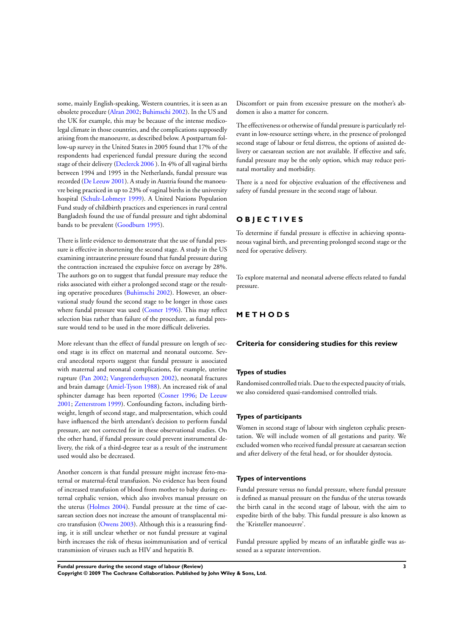some, mainly English-speaking, Western countries, it is seen as an obsolete procedure ([Alran 2002;](#page-8-0) [Buhimschi 2002](#page-8-0)). In the US and the UK for example, this may be because of the intense medicolegal climate in those countries, and the complications supposedly arising from the manoeuvre, as described below. A postpartum follow-up survey in the United States in 2005 found that 17% of the respondents had experienced fundal pressure during the second stage of their delivery ([Declerck 2006](#page-8-0) ). In 4% of all vaginal births between 1994 and 1995 in the Netherlands, fundal pressure was recorded ([De Leeuw 2001](#page-8-0)). A study in Austria found the manoeuvre being practiced in up to 23% of vaginal births in the university hospital ([Schulz-Lobmeyr 1999\)](#page-8-0). A United Nations Population Fund study of childbirth practices and experiences in rural central Bangladesh found the use of fundal pressure and tight abdominal bands to be prevalent [\(Goodburn 1995\)](#page-8-0).

There is little evidence to demonstrate that the use of fundal pressure is effective in shortening the second stage. A study in the US examining intrauterine pressure found that fundal pressure during the contraction increased the expulsive force on average by 28%. The authors go on to suggest that fundal pressure may reduce the risks associated with either a prolonged second stage or the resulting operative procedures [\(Buhimschi 2002](#page-8-0)). However, an observational study found the second stage to be longer in those cases where fundal pressure was used [\(Cosner 1996\)](#page-8-0). This may reflect selection bias rather than failure of the procedure, as fundal pressure would tend to be used in the more difficult deliveries.

More relevant than the effect of fundal pressure on length of second stage is its effect on maternal and neonatal outcome. Several anecdotal reports suggest that fundal pressure is associated with maternal and neonatal complications, for example, uterine rupture ([Pan 2002](#page-8-0); [Vangeenderhuysen 2002\)](#page-8-0), neonatal fractures and brain damage ([Amiel-Tyson 1988\)](#page-8-0). An increased risk of anal sphincter damage has been reported [\(Cosner 1996;](#page-8-0) [De Leeuw](#page-8-0) [2001](#page-8-0); [Zetterstrom 1999\)](#page-8-0). Confounding factors, including birthweight, length of second stage, and malpresentation, which could have influenced the birth attendant's decision to perform fundal pressure, are not corrected for in these observational studies. On the other hand, if fundal pressure could prevent instrumental delivery, the risk of a third-degree tear as a result of the instrument used would also be decreased.

Another concern is that fundal pressure might increase feto-maternal or maternal-fetal transfusion. No evidence has been found of increased transfusion of blood from mother to baby during external cephalic version, which also involves manual pressure on the uterus [\(Holmes 2004\)](#page-8-0). Fundal pressure at the time of caesarean section does not increase the amount of transplacental micro transfusion ([Owens 2003](#page-8-0)). Although this is a reassuring finding, it is still unclear whether or not fundal pressure at vaginal birth increases the risk of rhesus isoimmunisation and of vertical transmission of viruses such as HIV and hepatitis B.

Discomfort or pain from excessive pressure on the mother's abdomen is also a matter for concern.

The effectiveness or otherwise of fundal pressure is particularly relevant in low-resource settings where, in the presence of prolonged second stage of labour or fetal distress, the options of assisted delivery or caesarean section are not available. If effective and safe, fundal pressure may be the only option, which may reduce perinatal mortality and morbidity.

There is a need for objective evaluation of the effectiveness and safety of fundal pressure in the second stage of labour.

# **O B J E C T I V E S**

To determine if fundal pressure is effective in achieving spontaneous vaginal birth, and preventing prolonged second stage or the need for operative delivery.

To explore maternal and neonatal adverse effects related to fundal pressure.

# **M E T H O D S**

#### **Criteria for considering studies for this review**

#### **Types of studies**

Randomised controlled trials. Due to the expected paucity of trials, we also considered quasi-randomised controlled trials.

### **Types of participants**

Women in second stage of labour with singleton cephalic presentation. We will include women of all gestations and parity. We excluded women who received fundal pressure at caesarean section and after delivery of the fetal head, or for shoulder dystocia.

#### **Types of interventions**

Fundal pressure versus no fundal pressure, where fundal pressure is defined as manual pressure on the fundus of the uterus towards the birth canal in the second stage of labour, with the aim to expedite birth of the baby. This fundal pressure is also known as the 'Kristeller manoeuvre'.

Fundal pressure applied by means of an inflatable girdle was assessed as a separate intervention.

**Fundal pressure during the second stage of labour (Review) 3 Copyright © 2009 The Cochrane Collaboration. Published by John Wiley & Sons, Ltd.**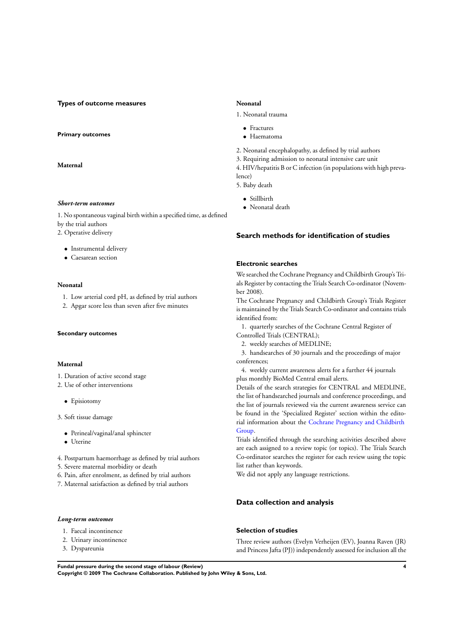### **Types of outcome measures**

#### **Primary outcomes**

### **Maternal**

### *Short-term outcomes*

1. No spontaneous vaginal birth within a specified time, as defined by the trial authors 2. Operative delivery

- Instrumental delivery
- Caesarean section

#### **Neonatal**

- 1. Low arterial cord pH, as defined by trial authors
- 2. Apgar score less than seven after five minutes

#### **Secondary outcomes**

#### **Maternal**

- 1. Duration of active second stage
- 2. Use of other interventions
	- Episiotomy
- 3. Soft tissue damage
	- Perineal/vaginal/anal sphincter
	- Uterine
- 4. Postpartum haemorrhage as defined by trial authors
- 5. Severe maternal morbidity or death
- 6. Pain, after enrolment, as defined by trial authors
- 7. Maternal satisfaction as defined by trial authors

#### *Long-term outcomes*

- 1. Faecal incontinence
- 2. Urinary incontinence
- 3. Dyspareunia

#### **Neonatal**

- 1. Neonatal trauma
	- Fractures
	- Haematoma
- 2. Neonatal encephalopathy, as defined by trial authors
- 3. Requiring admission to neonatal intensive care unit
- 4. HIV/hepatitis B or C infection (in populations with high prevalence)

5. Baby death

- Stillbirth
- Neonatal death
- 

# **Search methods for identification of studies**

#### **Electronic searches**

We searched the Cochrane Pregnancy and Childbirth Group's Trials Register by contacting the Trials Search Co-ordinator (November 2008).

The Cochrane Pregnancy and Childbirth Group's Trials Register is maintained by the Trials Search Co-ordinator and contains trials identified from:

- 1. quarterly searches of the Cochrane Central Register of Controlled Trials (CENTRAL);
	- 2. weekly searches of MEDLINE;

3. handsearches of 30 journals and the proceedings of major conferences;

4. weekly current awareness alerts for a further 44 journals plus monthly BioMed Central email alerts.

Details of the search strategies for CENTRAL and MEDLINE, the list of handsearched journals and conference proceedings, and the list of journals reviewed via the current awareness service can be found in the 'Specialized Register' section within the editorial information about the [Cochrane Pregnancy and Childbirth](http://www.mrw.interscience.wiley.com/cochrane/clabout/articles/preg/frame.html) [Group](http://www.mrw.interscience.wiley.com/cochrane/clabout/articles/preg/frame.html).

Trials identified through the searching activities described above are each assigned to a review topic (or topics). The Trials Search Co-ordinator searches the register for each review using the topic list rather than keywords.

We did not apply any language restrictions.

## **Data collection and analysis**

#### **Selection of studies**

Three review authors (Evelyn Verheijen (EV), Joanna Raven (JR) and Princess Jafta (PJ)) independently assessed for inclusion all the

**Fundal pressure during the second stage of labour (Review) 4**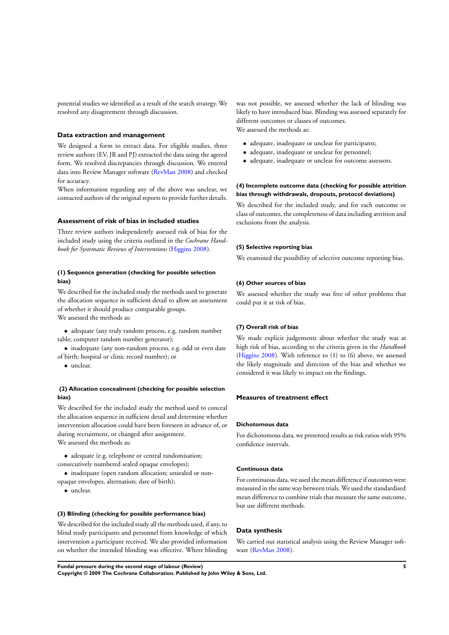potential studies we identified as a result of the search strategy. We resolved any disagreement through discussion.

#### **Data extraction and management**

We designed a form to extract data. For eligible studies, three review authors (EV, JR and PJ) extracted the data using the agreed form. We resolved discrepancies through discussion. We entered data into Review Manager software [\(RevMan 2008](#page-8-0)) and checked for accuracy.

When information regarding any of the above was unclear, we contacted authors of the original reports to provide further details.

#### **Assessment of risk of bias in included studies**

Three review authors independently assessed risk of bias for the included study using the criteria outlined in the *Cochrane Handbook for Systematic Reviews of Interventions* [\(Higgins 2008](#page-8-0)).

### **(1) Sequence generation (checking for possible selection bias)**

We described for the included study the methods used to generate the allocation sequence in sufficient detail to allow an assessment of whether it should produce comparable groups. We assessed the methods as:

• adequate (any truly random process, e.g. random number table; computer random number generator);

- inadequate (any non-random process, e.g. odd or even date of birth; hospital or clinic record number); or
	- unclear.

# **(2) Allocation concealment (checking for possible selection bias)**

We described for the included study the method used to conceal the allocation sequence in sufficient detail and determine whether intervention allocation could have been foreseen in advance of, or during recruitment, or changed after assignment. We assessed the methods as:

• adequate (e.g. telephone or central randomisation; consecutively numbered sealed opaque envelopes);

• inadequate (open random allocation; unsealed or nonopaque envelopes, alternation; date of birth);

• unclear.

#### **(3) Blinding (checking for possible performance bias)**

We described for the included study all the methods used, if any, to blind study participants and personnel from knowledge of which intervention a participant received. We also provided information on whether the intended blinding was effective. Where blinding was not possible, we assessed whether the lack of blinding was likely to have introduced bias. Blinding was assessed separately for different outcomes or classes of outcomes. We assessed the methods as:

- adequate, inadequate or unclear for participants;
- adequate, inadequate or unclear for personnel;
- adequate, inadequate or unclear for outcome assessors.

### **(4) Incomplete outcome data (checking for possible attrition bias through withdrawals, dropouts, protocol deviations)**

We described for the included study, and for each outcome or class of outcomes, the completeness of data including attrition and exclusions from the analysis.

#### **(5) Selective reporting bias**

We examined the possibility of selective outcome reporting bias.

#### **(6) Other sources of bias**

We assessed whether the study was free of other problems that could put it at risk of bias.

#### **(7) Overall risk of bias**

We made explicit judgements about whether the study was at high risk of bias, according to the criteria given in the *Handbook* [\(Higgins 2008](#page-8-0)). With reference to (1) to (6) above, we assessed the likely magnitude and direction of the bias and whether we considered it was likely to impact on the findings.

#### **Measures of treatment effect**

#### **Dichotomous data**

For dichotomous data, we presented results as risk ratios with 95% confidence intervals.

### **Continuous data**

For continuous data, we used the mean difference if outcomes were measured in the same way between trials. We used the standardised mean difference to combine trials that measure the same outcome, but use different methods.

#### **Data synthesis**

We carried out statistical analysis using the Review Manager software [\(RevMan 2008](#page-8-0)).

**Fundal pressure during the second stage of labour (Review) 5**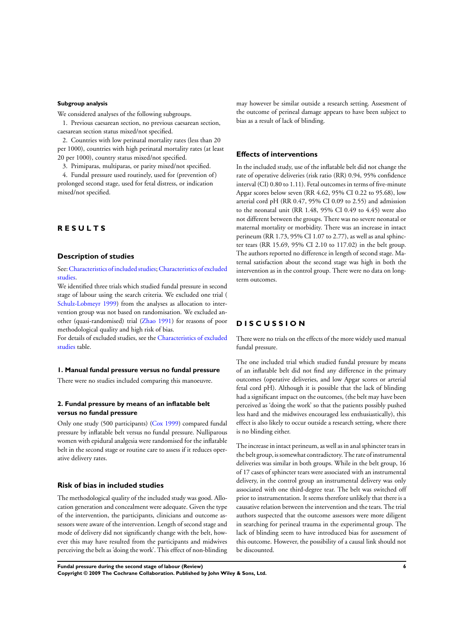### **Subgroup analysis**

We considered analyses of the following subgroups.

1. Previous caesarean section, no previous caesarean section, caesarean section status mixed/not specified.

2. Countries with low perinatal mortality rates (less than 20 per 1000), countries with high perinatal mortality rates (at least 20 per 1000), country status mixed/not specified.

3. Primiparas, multiparas, or parity mixed/not specified.

4. Fundal pressure used routinely, used for (prevention of ) prolonged second stage, used for fetal distress, or indication mixed/not specified.

# **R E S U L T S**

### **Description of studies**

See:[Characteristics of included studies;](#page-10-0)[Characteristics of excluded](#page-11-0) [studies.](#page-11-0)

We identified three trials which studied fundal pressure in second stage of labour using the search criteria. We excluded one trial ( [Schulz-Lobmeyr 1999](#page-8-0)) from the analyses as allocation to intervention group was not based on randomisation. We excluded another (quasi-randomised) trial [\(Zhao 1991\)](#page-8-0) for reasons of poor methodological quality and high risk of bias.

For details of excluded studies, see the [Characteristics of excluded](#page-11-0) [studies](#page-11-0) table.

# **1. Manual fundal pressure versus no fundal pressure**

There were no studies included comparing this manoeuvre.

### **2. Fundal pressure by means of an inflatable belt versus no fundal pressure**

Only one study (500 participants) [\(Cox 1999\)](#page-8-0) compared fundal pressure by inflatable belt versus no fundal pressure. Nulliparous women with epidural analgesia were randomised for the inflatable belt in the second stage or routine care to assess if it reduces operative delivery rates.

# **Risk of bias in included studies**

The methodological quality of the included study was good. Allocation generation and concealment were adequate. Given the type of the intervention, the participants, clinicians and outcome assessors were aware of the intervention. Length of second stage and mode of delivery did not significantly change with the belt, however this may have resulted from the participants and midwives perceiving the belt as 'doing the work'. This effect of non-blinding may however be similar outside a research setting. Assesment of the outcome of perineal damage appears to have been subject to bias as a result of lack of blinding.

#### **Effects of interventions**

In the included study, use of the inflatable belt did not change the rate of operative deliveries (risk ratio (RR) 0.94, 95% confidence interval (CI) 0.80 to 1.11). Fetal outcomes in terms of five-minute Apgar scores below seven (RR 4.62, 95% CI 0.22 to 95.68), low arterial cord pH (RR 0.47, 95% CI 0.09 to 2.55) and admission to the neonatal unit (RR 1.48, 95% CI 0.49 to 4.45) were also not different between the groups. There was no severe neonatal or maternal mortality or morbidity. There was an increase in intact perineum (RR 1.73, 95% CI 1.07 to 2.77), as well as anal sphincter tears (RR 15.69, 95% CI 2.10 to 117.02) in the belt group. The authors reported no difference in length of second stage. Maternal satisfaction about the second stage was high in both the intervention as in the control group. There were no data on longterm outcomes.

# **D I S C U S S I O N**

There were no trials on the effects of the more widely used manual fundal pressure.

The one included trial which studied fundal pressure by means of an inflatable belt did not find any difference in the primary outcomes (operative deliveries, and low Apgar scores or arterial fetal cord pH). Although it is possible that the lack of blinding had a significant impact on the outcomes, (the belt may have been perceived as 'doing the work' so that the patients possibly pushed less hard and the midwives encouraged less enthusiastically), this effect is also likely to occur outside a research setting, where there is no blinding either.

The increase in intact perineum, as well as in anal sphincter tears in the belt group, is somewhat contradictory. The rate of instrumental deliveries was similar in both groups. While in the belt group, 16 of 17 cases of sphincter tears were associated with an instrumental delivery, in the control group an instrumental delivery was only associated with one third-degree tear. The belt was switched off prior to instrumentation. It seems therefore unlikely that there is a causative relation between the intervention and the tears. The trial authors suspected that the outcome assessors were more diligent in searching for perineal trauma in the experimental group. The lack of blinding seem to have introduced bias for assessment of this outcome. However, the possibility of a causal link should not be discounted.

**Fundal pressure during the second stage of labour (Review) 6**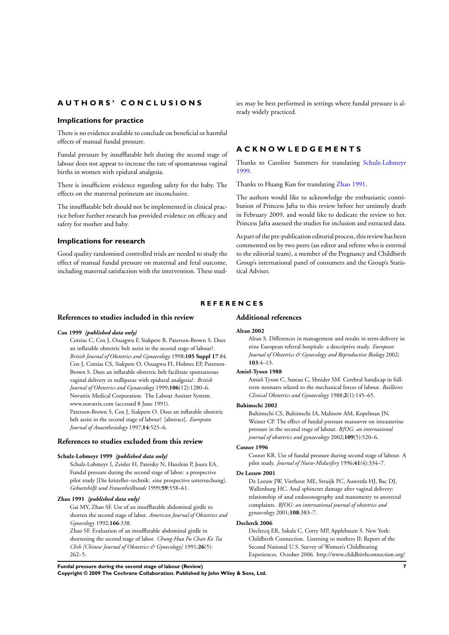# <span id="page-8-0"></span>**A U T H O R S ' C O N C L U S I O N S**

#### **Implications for practice**

There is no evidence available to conclude on beneficial or harmful effects of manual fundal pressure.

Fundal pressure by insufflatable belt during the second stage of labour does not appear to increase the rate of spontaneous vaginal births in women with epidural analgesia.

There is insufficient evidence regarding safety for the baby. The effects on the maternal perineum are inconclusive.

The insufflatable belt should not be implemented in clinical practice before further research has provided evidence on efficacy and safety for mother and baby.

### **Implications for research**

Good quality randomised controlled trials are needed to study the effect of manual fundal pressure on maternal and fetal outcome, including maternal satisfaction with the intervention. These studies may be best performed in settings where fundal pressure is already widely practiced.

# **A C K N O W L E D G E M E N T S**

Thanks to Caroline Summers for translating Schulz-Lobmeyr 1999.

Thanks to Huang Kun for translating Zhao 1991.

The authors would like to acknowledge the enthusiastic contribution of Princess Jafta to this review before her untimely death in February 2009, and would like to dedicate the review to her. Princess Jafta assessed the studies for inclusion and extracted data.

As part of the pre-publication editorial process, this review has been commented on by two peers (an editor and referee who is external to the editorial team), a member of the Pregnancy and Childbirth Group's international panel of consumers and the Group's Statistical Adviser.

# **R E F E R E N C E S**

#### **References to studies included in this review**

#### **Cox 1999** *{published data only}*

Cotzias C, Cox J, Osuagwu F, Siakpere B, Paterson-Brown S. Does an inflatable obstetric belt assist in the second stage of labour?. *British Journal of Obstetrics and Gynaecology* 1998;**105 Suppl 17**:84. Cox J, Cotzias CS, Siakpere O, Osuagwu FI, Holmes EP, Paterson-Brown S. Does an inflatable obstetric belt facilitate spontaneous vaginal delivery in nulliparae with epidural analgesia?. *British Journal of Obstetrics and Gynaecology* 1999;**106**(12):1280–6. Novatrix Medical Corporation. The Labour Assister System. www.novatrix.com (accessed 8 June 1991). Paterson-Brown S, Cox J, Siakpere O. Does an inflatable obstetric belt assist in the second stage of labour? [abstract]. *European Journal of Anaesthesiology* 1997;**14**:525–6.

#### **References to studies excluded from this review**

### **Schulz-Lobmeyr 1999** *{published data only}*

Schulz-Lobmeyr I, Zeisler H, Pateisky N, Husslein P, Joura EA. Fundal pressure during the second stage of labor: a prospective pilot study [Die kristeller–technik: eine prospective untersuchung]. *Geburtshilfe und Frauenheilkunde* 1999;**59**:558–61.

### **Zhao 1991** *{published data only}*

Gai MY, Zhao SF. Use of an insufflatable abdominal girdle to shorten the second stage of labor. *American Journal of Obstetrics and Gynecology* 1992;**166**:338.

Zhao SF. Evaluation of an insufflatable abdominal girdle in shortening the second stage of labor. *Chung-Hua Fu Chan Ko Tsa Chih [Chinese Journal of Obstetrics & Gynecology]* 1991;**26**(5): 262–5.

#### **Additional references**

#### **Alran 2002**

Alran S. Differences in management and results in term-delivery in nine European referral hospitals: a descriptive study. *European Journal of Obstetrics & Gynecology and Reproductive Biology* 2002; **103**:4–13.

#### **Amiel-Tyson 1988**

Amiel-Tyson C, Sureau C, Shnider SM. Cerebral handicap in fullterm neonates related to the mechanical forces of labour. *Baillieres Clinical Obstetrics and Gynaecology* 1988;**2**(1):145–65.

#### **Buhimschi 2002**

Buhimschi CS, Buhimschi IA, Malinow AM, Kopelman JN, Weiner CP. The effect of fundal pressure manoevre on intrauterine pressure in the second stage of labour. *BJOG: an international journal of obstetrics and gynaecology* 2002;**109**(5):520–6.

#### **Cosner 1996**

Cosner KR. Use of fundal pressure during second stage of labour. A pilot study. *Journal of Nurse-Midwifery* 1996;**41**(4):334–7.

#### **De Leeuw 2001**

De Leeuw JW, Vierhout ME, Struijk PC, Auwerda HJ, Bac DJ, Wallenburg HC. Anal sphincter damage after vaginal delivery: relationship of anal endosonography and manometry to anorectal complaints. *BJOG: an international journal of obstetrics and gynaecology* 2001;**108**:383–7.

#### **Declerck 2006**

Declercq ER, Sakala C, Corry MP, Applebaum S. New York: Childbirth Connection. Listening to mothers II: Report of the Second National U.S. Survey of Women's Childbearing Experiences. October 2006. http://www.childbirthconnection.org/

**Fundal pressure during the second stage of labour (Review) 7**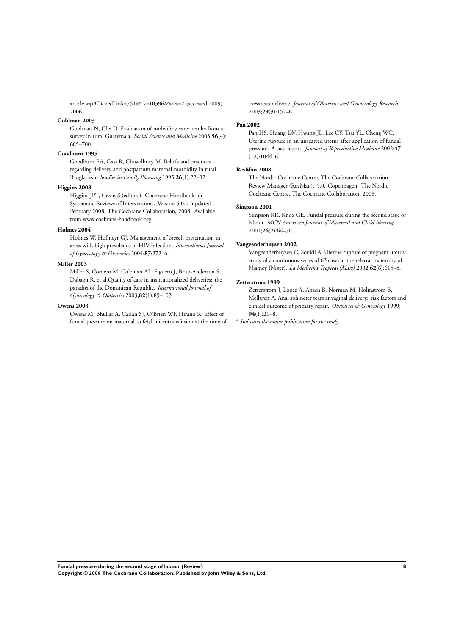article.asp?ClickedLink=751&ck=10396&area=2 (accessed 2009) 2006.

#### **Goldman 2003**

Goldman N, Glei D. Evaluation of midwifery care: results from a survey in rural Guatemala. *Social Science and Medicine* 2003;**56**(4): 685–700.

## **Goodburn 1995**

Goodburn EA, Gazi R, Chowdhury M. Beliefs and practices regarding delivery and postpartum maternal morbidity in rural Bangladesh. *Studies in Family Planning* 1995;**26**(1):22–32.

# **Higgins 2008**

Higgins JPT, Green S (editors). Cochrane Handbook for Systematic Reviews of Interventions. Version 5.0.0 [updated February 2008].The Cochrane Collaboration, 2008. Available from www.cochrane-handbook.org.

### **Holmes 2004**

Holmes W, Hofmeyr GJ. Management of breech presentation in areas with high prevalence of HIV infection. *International Journal of Gynecology & Obstetrics* 2004;**87**:272–6.

### **Miller 2003**

Miller S, Cordero M, Coleman AL, Figuero J, Brito-Anderson S, Dabagh R, et al.Quality of care in institutionalized deliveries: the paradox of the Dominican Republic. *International Journal of Gynecology & Obstetrics* 2003;**82**(1):89–103.

#### **Owens 2003**

Owens M, Bhullar A, Carlan SJ, O'Brien WF, Hirano K. Effect of fundal pressure on maternal to fetal microtransfusion at the time of caesarean delivery. *Journal of Obstetrics and Gynaecology Research* 2003;**29**(3):152–6.

#### **Pan 2002**

Pan HS, Huang LW, Hwang JL, Lee CY, Tsai YL, Cheng WC. Uterine rupture in an unscarred uterus after application of fundal pressure. A case report. *Journal of Reproductive Medicine* 2002;**47**  $(12):1044-6.$ 

### **RevMan 2008**

The Nordic Cochrane Centre, The Cochrane Collaboration. Review Manager (RevMan). 5.0. Copenhagen: The Nordic Cochrane Centre, The Cochrane Collaboration, 2008.

#### **Simpson 2001**

Simpson KR, Knox GE. Fundal pressure during the second stage of labour. *MCN American Journal of Maternal and Child Nursing* 2001;**26**(2):64–70.

# **Vangeenderhuysen 2002**

Vangeenderhuysen C, Souidi A. Uterine rupture of pregnant uterus: study of a continuous series of 63 cases at the referral maternity of Niamey (Niger). *La Medicina Tropical (Mars)* 2002;**62**(6):615–8.

#### **Zetterstrom 1999**

Zetterstrom J, Lopez A, Anzen B, Norman M, Holmstrom B, Mellgren A. Anal sphincter tears at vaginal delivery: risk factors and clinical outcome of primary repair. *Obstetrics & Gynecology* 1999; **94**(1):21–8.

∗ *Indicates the major publication for the study*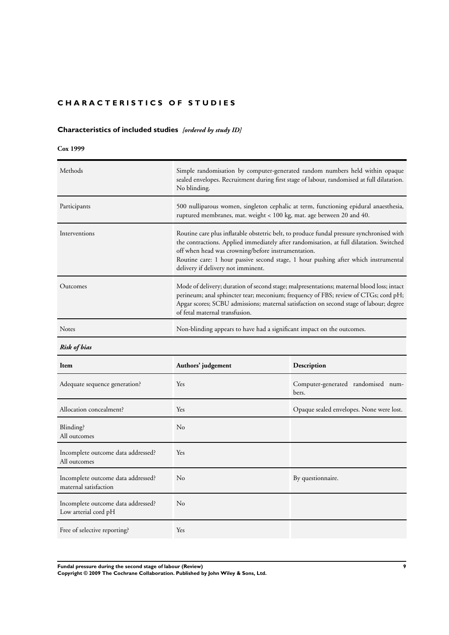# <span id="page-10-0"></span>**CHARACTERISTICS OF STUDIES**

# **Characteristics of included studies** *[ordered by study ID]*

# **Cox 1999**

| Methods                                                     | Simple randomisation by computer-generated random numbers held within opaque<br>sealed envelopes. Recruitment during first stage of labour, randomised at full dilatation.<br>No blinding.                                                                                                                                                                             |                                                                                      |  |  |  |  |
|-------------------------------------------------------------|------------------------------------------------------------------------------------------------------------------------------------------------------------------------------------------------------------------------------------------------------------------------------------------------------------------------------------------------------------------------|--------------------------------------------------------------------------------------|--|--|--|--|
| Participants                                                | ruptured membranes, mat. weight < 100 kg, mat. age between 20 and 40.                                                                                                                                                                                                                                                                                                  | 500 nulliparous women, singleton cephalic at term, functioning epidural anaesthesia, |  |  |  |  |
| Interventions                                               | Routine care plus inflatable obstetric belt, to produce fundal pressure synchronised with<br>the contractions. Applied immediately after randomisation, at full dilatation. Switched<br>off when head was crowning/before instrumentation.<br>Routine care: 1 hour passive second stage, 1 hour pushing after which instrumental<br>delivery if delivery not imminent. |                                                                                      |  |  |  |  |
| Outcomes                                                    | Mode of delivery; duration of second stage; malpresentations; maternal blood loss; intact<br>perineum; anal sphincter tear; meconium; frequency of FBS; review of CTGs; cord pH;<br>Apgar scores; SCBU admissions; maternal satisfaction on second stage of labour; degree<br>of fetal maternal transfusion.                                                           |                                                                                      |  |  |  |  |
| Notes                                                       | Non-blinding appears to have had a significant impact on the outcomes.                                                                                                                                                                                                                                                                                                 |                                                                                      |  |  |  |  |
| <b>Risk of bias</b>                                         |                                                                                                                                                                                                                                                                                                                                                                        |                                                                                      |  |  |  |  |
| Item                                                        | Authors' judgement                                                                                                                                                                                                                                                                                                                                                     | Description                                                                          |  |  |  |  |
| Adequate sequence generation?                               | Yes                                                                                                                                                                                                                                                                                                                                                                    | Computer-generated randomised num-<br>bers.                                          |  |  |  |  |
| Allocation concealment?                                     | Yes                                                                                                                                                                                                                                                                                                                                                                    | Opaque sealed envelopes. None were lost.                                             |  |  |  |  |
| Blinding?<br>All outcomes                                   | No                                                                                                                                                                                                                                                                                                                                                                     |                                                                                      |  |  |  |  |
| Incomplete outcome data addressed?<br>All outcomes          | Yes                                                                                                                                                                                                                                                                                                                                                                    |                                                                                      |  |  |  |  |
| Incomplete outcome data addressed?<br>maternal satisfaction | No                                                                                                                                                                                                                                                                                                                                                                     | By questionnaire.                                                                    |  |  |  |  |
| Incomplete outcome data addressed?<br>Low arterial cord pH  | No                                                                                                                                                                                                                                                                                                                                                                     |                                                                                      |  |  |  |  |
| Free of selective reporting?                                | Yes                                                                                                                                                                                                                                                                                                                                                                    |                                                                                      |  |  |  |  |

**Fundal pressure during the second stage of labour (Review) 9**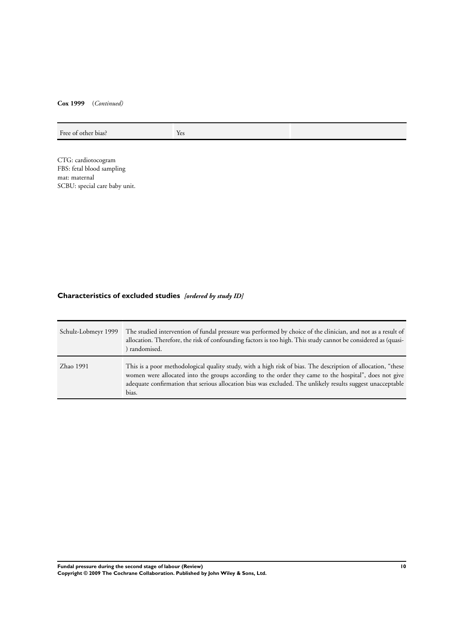# <span id="page-11-0"></span>**Cox 1999** (*Continued)*

| Free of other bias? | Yes |  |
|---------------------|-----|--|
|                     |     |  |

CTG: cardiotocogram FBS: fetal blood sampling mat: maternal SCBU: special care baby unit.

# **Characteristics of excluded studies** *[ordered by study ID]*

| Schulz-Lobmeyr 1999 | The studied intervention of fundal pressure was performed by choice of the clinician, and not as a result of<br>allocation. Therefore, the risk of confounding factors is too high. This study cannot be considered as (quasi-<br>) randomised.                                                                                              |
|---------------------|----------------------------------------------------------------------------------------------------------------------------------------------------------------------------------------------------------------------------------------------------------------------------------------------------------------------------------------------|
| Zhao 1991           | This is a poor methodological quality study, with a high risk of bias. The description of allocation, "these<br>women were allocated into the groups according to the order they came to the hospital", does not give<br>adequate confirmation that serious allocation bias was excluded. The unlikely results suggest unacceptable<br>bias. |

**Fundal pressure during the second stage of labour (Review) 10 Copyright © 2009 The Cochrane Collaboration. Published by John Wiley & Sons, Ltd.**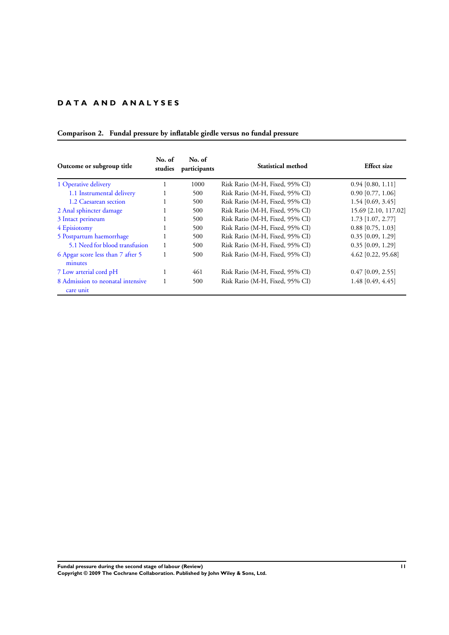# **D A T A A N D A N A L Y S E S**

#### **Outcome or subgroup title No. of studies No. of participants Statistical method** Effect size [1 Operative delivery](#page-13-0) 1 1000 Risk Ratio (M-H, Fixed, 95% CI) 0.94 [0.80, 1.11] [1.1 Instrumental delivery](#page-13-0) 1 500 Risk Ratio (M-H, Fixed, 95% CI) 0.90 [0.77, 1.06] [1.2 Caesarean section](#page-13-0) 1 500 Risk Ratio (M-H, Fixed, 95% CI) 1.54 [0.69, 3.45]<br>2 Anal sphincter damage 1 500 Risk Ratio (M-H, Fixed, 95% CI) 15.69 [2.10, 117.02] 2 1 500 Risk Ratio (M-H, Fixed, 95% CI) 15.69 [2.10, 117.<br>
2 500 Risk Ratio (M-H, Fixed, 95% CI) 1.73 [1.07, 2.77] [3 Intact perineum](#page-14-0) 1 500 Risk Ratio (M-H, Fixed, 95% CI) [4 Episiotomy](#page-15-0) 1 500 Risk Ratio (M-H, Fixed, 95% CI) 0.88 [0.75, 1.03] [5 Postpartum haemorrhage](#page-15-0) 1 500 Risk Ratio (M-H, Fixed, 95% CI) 0.35 [0.09, 1.29] [5.1 Need for blood transfusion](#page-15-0) 1 500 Risk Ratio (M-H, Fixed, 95% CI) 0.35 [0.09, 1.29] [6 Apgar score less than 7 after 5](#page-16-0) [minutes](#page-16-0) 1 500 Risk Ratio (M-H, Fixed, 95% CI) 4.62 [0.22, 95.68] [7 Low arterial cord pH](#page-16-0) 1 461 Risk Ratio (M-H, Fixed, 95% CI) 0.47 [0.09, 2.55] [8 Admission to neonatal intensive](#page-17-0) [care unit](#page-17-0) 1 500 Risk Ratio (M-H, Fixed, 95% CI) 1.48 [0.49, 4.45]

## **Comparison 2. Fundal pressure by inflatable girdle versus no fundal pressure**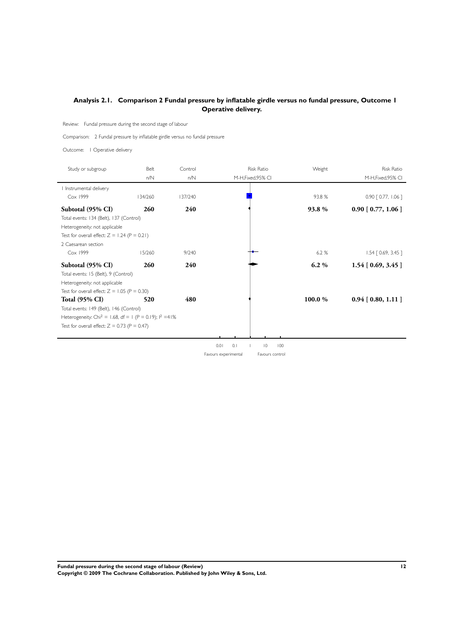# <span id="page-13-0"></span>**Analysis 2.1. Comparison 2 Fundal pressure by inflatable girdle versus no fundal pressure, Outcome 1 Operative delivery.**

Review: Fundal pressure during the second stage of labour

Comparison: 2 Fundal pressure by inflatable girdle versus no fundal pressure

Outcome: 1 Operative delivery

| Study or subgroup                                                     | Belt    | Control | Risk Ratio         | Weight  | <b>Risk Ratio</b>        |
|-----------------------------------------------------------------------|---------|---------|--------------------|---------|--------------------------|
|                                                                       | n/N     | n/N     | M-H, Fixed, 95% CI |         | M-H, Fixed, 95% CI       |
| Instrumental delivery                                                 |         |         |                    |         |                          |
| Cox 1999                                                              | 134/260 | 137/240 |                    | 93.8%   | $0.90$ $[0.77, 1.06]$    |
| Subtotal (95% CI)                                                     | 260     | 240     |                    | 93.8 %  | $0.90$ [ $0.77, 1.06$ ]  |
| Total events: 134 (Belt), 137 (Control)                               |         |         |                    |         |                          |
| Heterogeneity: not applicable                                         |         |         |                    |         |                          |
| Test for overall effect: $Z = 1.24$ (P = 0.21)                        |         |         |                    |         |                          |
| 2 Caesarean section                                                   |         |         |                    |         |                          |
| Cox 1999                                                              | 15/260  | 9/240   |                    | 6.2%    | $1.54$ [ 0.69, 3.45 ]    |
| Subtotal (95% CI)                                                     | 260     | 240     |                    | 6.2 %   | $1.54$ [ 0.69, 3.45 ]    |
| Total events: 15 (Belt), 9 (Control)                                  |         |         |                    |         |                          |
| Heterogeneity: not applicable                                         |         |         |                    |         |                          |
| Test for overall effect: $Z = 1.05$ (P = 0.30)                        |         |         |                    |         |                          |
| <b>Total (95% CI)</b>                                                 | 520     | 480     |                    | 100.0 % | $0.94$ [ $0.80$ , 1.11 ] |
| Total events: 149 (Belt), 146 (Control)                               |         |         |                    |         |                          |
| Heterogeneity: Chi <sup>2</sup> = 1.68, df = 1 (P = 0.19); $1^2$ =41% |         |         |                    |         |                          |
| Test for overall effect: $Z = 0.73$ (P = 0.47)                        |         |         |                    |         |                          |
|                                                                       |         |         |                    |         |                          |

 $0.01$  0.1 10 100 Favours experimental Favours control

**Fundal pressure during the second stage of labour (Review) 12**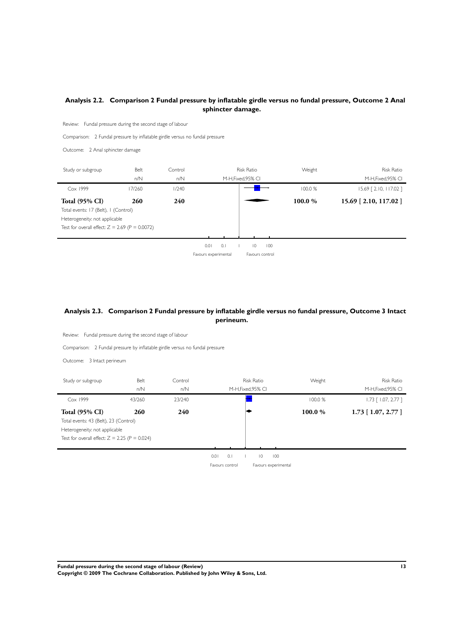# <span id="page-14-0"></span>**Analysis 2.2. Comparison 2 Fundal pressure by inflatable girdle versus no fundal pressure, Outcome 2 Anal sphincter damage.**

Review: Fundal pressure during the second stage of labour

Comparison: 2 Fundal pressure by inflatable girdle versus no fundal pressure

Outcome: 2 Anal sphincter damage

÷,

| Study or subgroup                                | Belt   | Control |                      |     | <b>Risk Ratio</b> |     | Weight  | <b>Risk Ratio</b>        |
|--------------------------------------------------|--------|---------|----------------------|-----|-------------------|-----|---------|--------------------------|
|                                                  | n/N    | n/N     |                      |     | M-H.Fixed.95% CI  |     |         | M-H, Fixed, 95% CI       |
| Cox 1999                                         | 17/260 | 1/240   |                      |     |                   |     | 100.0 % | 15.69 [2.10, 117.02]     |
| <b>Total (95% CI)</b>                            | 260    | 240     |                      |     |                   |     | 100.0%  | $15.69$ [ 2.10, 117.02 ] |
| Total events: 17 (Belt), 1 (Control)             |        |         |                      |     |                   |     |         |                          |
| Heterogeneity: not applicable                    |        |         |                      |     |                   |     |         |                          |
| Test for overall effect: $Z = 2.69$ (P = 0.0072) |        |         |                      |     |                   |     |         |                          |
|                                                  |        |         |                      |     |                   |     |         |                          |
|                                                  |        |         | 0.01                 | 0.1 | $\overline{0}$    | 100 |         |                          |
|                                                  |        |         | Favours experimental |     | Favours control   |     |         |                          |

# **Analysis 2.3. Comparison 2 Fundal pressure by inflatable girdle versus no fundal pressure, Outcome 3 Intact perineum.**

| Review: Fundal pressure during the second stage of labour                        |             |                |                                                  |                             |                                  |
|----------------------------------------------------------------------------------|-------------|----------------|--------------------------------------------------|-----------------------------|----------------------------------|
| Comparison: 2 Fundal pressure by inflatable girdle versus no fundal pressure     |             |                |                                                  |                             |                                  |
| Outcome: 3 Intact perineum                                                       |             |                |                                                  |                             |                                  |
| Study or subgroup                                                                | Belt<br>n/N | Control<br>n/N | <b>Risk Ratio</b><br>M-H, Fixed, 95% CI          | Weight                      | Risk Ratio<br>M-H, Fixed, 95% CI |
| Cox 1999                                                                         | 43/260      | 23/240         |                                                  | 100.0%                      | $1.73$ [ $1.07, 2.77$ ]          |
| <b>Total (95% CI)</b>                                                            | 260         | 240            |                                                  | 100.0%                      | $1.73$ [ $1.07, 2.77$ ]          |
| Heterogeneity: not applicable<br>Test for overall effect: $Z = 2.25$ (P = 0.024) |             |                |                                                  |                             |                                  |
|                                                                                  |             |                |                                                  |                             |                                  |
|                                                                                  |             |                | 0.1<br>0.01<br>$\overline{0}$<br>Favours control | 100<br>Favours experimental |                                  |
|                                                                                  |             |                |                                                  |                             |                                  |
|                                                                                  |             |                |                                                  |                             |                                  |
|                                                                                  |             |                |                                                  |                             |                                  |
|                                                                                  |             |                |                                                  |                             |                                  |
|                                                                                  |             |                |                                                  |                             |                                  |
|                                                                                  |             |                |                                                  |                             |                                  |
|                                                                                  |             |                |                                                  |                             |                                  |
|                                                                                  |             |                |                                                  |                             |                                  |
|                                                                                  |             |                |                                                  |                             |                                  |

**Fundal pressure during the second stage of labour (Review) 13**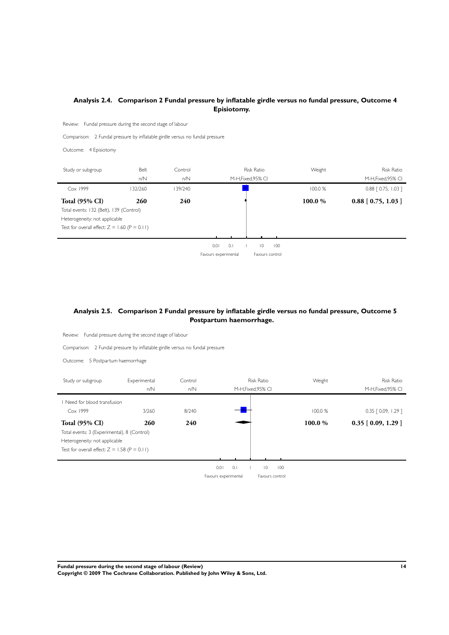# <span id="page-15-0"></span>**Analysis 2.4. Comparison 2 Fundal pressure by inflatable girdle versus no fundal pressure, Outcome 4 Episiotomy.**

Review: Fundal pressure during the second stage of labour

Comparison: 2 Fundal pressure by inflatable girdle versus no fundal pressure

Outcome: 4 Episiotomy

| Study or subgroup                              | Belt    | Control |                      |     | <b>Risk Ratio</b> |     | Weight  | <b>Risk Ratio</b>     |
|------------------------------------------------|---------|---------|----------------------|-----|-------------------|-----|---------|-----------------------|
|                                                | n/N     | n/N     |                      |     | M-H.Fixed.95% CI  |     |         | M-H.Fixed.95% CI      |
| Cox 1999                                       | 132/260 | 139/240 |                      |     |                   |     | 100.0 % | $0.88$ $[0.75, 1.03]$ |
| <b>Total (95% CI)</b>                          | 260     | 240     |                      |     |                   |     | 100.0 % | $0.88$ [ 0.75, 1.03 ] |
| Total events: 132 (Belt), 139 (Control)        |         |         |                      |     |                   |     |         |                       |
| Heterogeneity: not applicable                  |         |         |                      |     |                   |     |         |                       |
| Test for overall effect: $Z = 1.60$ (P = 0.11) |         |         |                      |     |                   |     |         |                       |
|                                                |         |         |                      |     |                   |     |         |                       |
|                                                |         |         | 0.01                 | 0.1 | $\overline{0}$    | 100 |         |                       |
|                                                |         |         | Favours experimental |     | Favours control   |     |         |                       |
|                                                |         |         |                      |     |                   |     |         |                       |

# **Analysis 2.5. Comparison 2 Fundal pressure by inflatable girdle versus no fundal pressure, Outcome 5 Postpartum haemorrhage.**

|                                                                                                                                | Review: Fundal pressure during the second stage of labour                    |         |                                         |         |                         |
|--------------------------------------------------------------------------------------------------------------------------------|------------------------------------------------------------------------------|---------|-----------------------------------------|---------|-------------------------|
|                                                                                                                                | Comparison: 2 Fundal pressure by inflatable girdle versus no fundal pressure |         |                                         |         |                         |
| Outcome: 5 Postpartum haemorrhage                                                                                              |                                                                              |         |                                         |         |                         |
| Study or subgroup                                                                                                              | Experimental                                                                 | Control | <b>Risk Ratio</b>                       | Weight  | Risk Ratio              |
|                                                                                                                                | n/N                                                                          | n/N     | M-H, Fixed, 95% CI                      |         | M-H,Fixed,95% CI        |
| I Need for blood transfusion                                                                                                   |                                                                              |         |                                         |         |                         |
| Cox 1999                                                                                                                       | 3/260                                                                        | 8/240   |                                         | 100.0 % | $0.35$ $[0.09, 1.29]$   |
| <b>Total (95% CI)</b>                                                                                                          | 260                                                                          | 240     |                                         | 100.0%  | $0.35$ [ $0.09, 1.29$ ] |
| Total events: 3 (Experimental), 8 (Control)<br>Heterogeneity: not applicable<br>Test for overall effect: $Z = 1.58$ (P = 0.11) |                                                                              |         |                                         |         |                         |
|                                                                                                                                |                                                                              |         | 0.01<br>0.1<br>$ 0\rangle$<br>100       |         |                         |
|                                                                                                                                |                                                                              |         | Favours experimental<br>Favours control |         |                         |
|                                                                                                                                |                                                                              |         |                                         |         |                         |
|                                                                                                                                |                                                                              |         |                                         |         |                         |
|                                                                                                                                |                                                                              |         |                                         |         |                         |
|                                                                                                                                |                                                                              |         |                                         |         |                         |
|                                                                                                                                |                                                                              |         |                                         |         |                         |
|                                                                                                                                |                                                                              |         |                                         |         |                         |
|                                                                                                                                |                                                                              |         |                                         |         |                         |

**Fundal pressure during the second stage of labour (Review) 14**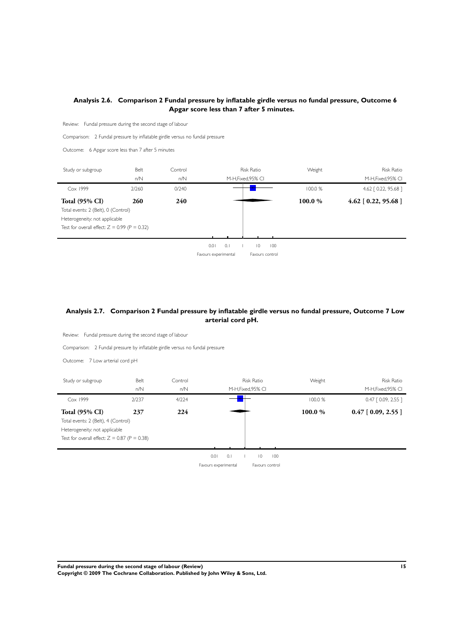# <span id="page-16-0"></span>**Analysis 2.6. Comparison 2 Fundal pressure by inflatable girdle versus no fundal pressure, Outcome 6 Apgar score less than 7 after 5 minutes.**

Review: Fundal pressure during the second stage of labour

Comparison: 2 Fundal pressure by inflatable girdle versus no fundal pressure

Outcome: 6 Apgar score less than 7 after 5 minutes

÷,

| Study or subgroup                              | Belt  | Control | <b>Risk Ratio</b>    |     |                  | Weight | <b>Risk Ratio</b> |                        |
|------------------------------------------------|-------|---------|----------------------|-----|------------------|--------|-------------------|------------------------|
|                                                | n/N   | n/N     |                      |     | M-H.Fixed.95% CI |        |                   | M-H.Fixed.95% CI       |
| Cox 1999                                       | 2/260 | 0/240   |                      |     |                  |        | 100.0 %           | 4.62 [ 0.22, 95.68 ]   |
| <b>Total (95% CI)</b>                          | 260   | 240     |                      |     |                  |        | 100.0%            | $4.62$ [ 0.22, 95.68 ] |
| Total events: 2 (Belt), 0 (Control)            |       |         |                      |     |                  |        |                   |                        |
| Heterogeneity: not applicable                  |       |         |                      |     |                  |        |                   |                        |
| Test for overall effect: $Z = 0.99$ (P = 0.32) |       |         |                      |     |                  |        |                   |                        |
|                                                |       |         |                      |     |                  |        |                   |                        |
|                                                |       |         | 0.01                 | 0.1 | $\overline{0}$   | 100    |                   |                        |
|                                                |       |         | Favours experimental |     | Favours control  |        |                   |                        |

# **Analysis 2.7. Comparison 2 Fundal pressure by inflatable girdle versus no fundal pressure, Outcome 7 Low arterial cord pH.**

Review: Fundal pressure during the second stage of labour

Comparison: 2 Fundal pressure by inflatable girdle versus no fundal pressure

Outcome: 7 Low arterial cord pH

| Study or subgroup                                                                                                                               | Belt  | Control | Risk Ratio                                                                      | Weight  | <b>Risk Ratio</b>     |
|-------------------------------------------------------------------------------------------------------------------------------------------------|-------|---------|---------------------------------------------------------------------------------|---------|-----------------------|
|                                                                                                                                                 | n/N   | n/N     | M-H, Fixed, 95% CI                                                              |         | M-H,Fixed,95% Cl      |
| Cox 1999                                                                                                                                        | 2/237 | 4/224   |                                                                                 | 100.0 % | $0.47$ $[0.09, 2.55]$ |
| <b>Total (95% CI)</b><br>Total events: 2 (Belt), 4 (Control)<br>Heterogeneity: not applicable<br>Test for overall effect: $Z = 0.87$ (P = 0.38) | 237   | 224     |                                                                                 | 100.0%  | $0.47$ [ 0.09, 2.55 ] |
|                                                                                                                                                 |       |         | 0.01<br>0.1<br>$\overline{0}$<br>100<br>Favours experimental<br>Favours control |         |                       |

**Fundal pressure during the second stage of labour (Review) 15**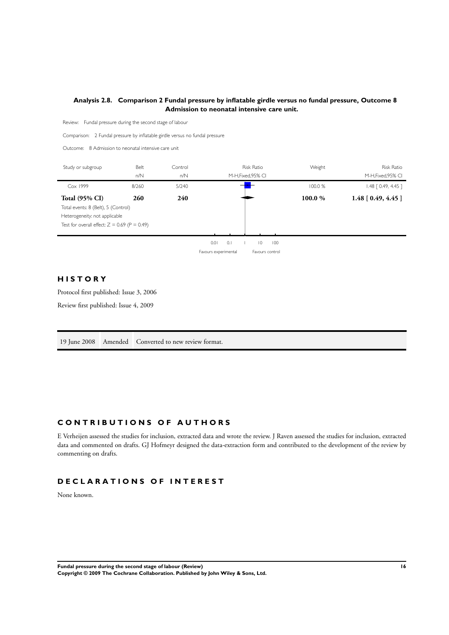## <span id="page-17-0"></span>**Analysis 2.8. Comparison 2 Fundal pressure by inflatable girdle versus no fundal pressure, Outcome 8 Admission to neonatal intensive care unit.**

Review: Fundal pressure during the second stage of labour

Comparison: 2 Fundal pressure by inflatable girdle versus no fundal pressure

Outcome: 8 Admission to neonatal intensive care unit

| Study or subgroup                              | Belt<br>n/N | Control<br>n/N | Risk Ratio<br>M-H, Fixed, 95% CI |                       | Weight  | Risk Ratio<br>M-H, Fixed, 95% CI |
|------------------------------------------------|-------------|----------------|----------------------------------|-----------------------|---------|----------------------------------|
| Cox 1999                                       | 8/260       | 5/240          |                                  |                       | 100.0 % | $1.48$ $[0.49, 4.45]$            |
| <b>Total (95% CI)</b>                          | 260         | 240            |                                  |                       | 100.0%  | $1.48$ [ 0.49, 4.45 ]            |
| Total events: 8 (Belt), 5 (Control)            |             |                |                                  |                       |         |                                  |
| Heterogeneity: not applicable                  |             |                |                                  |                       |         |                                  |
| Test for overall effect: $Z = 0.69$ (P = 0.49) |             |                |                                  |                       |         |                                  |
|                                                |             |                |                                  |                       |         |                                  |
|                                                |             |                | 0.01<br>0.1                      | $\overline{0}$<br>100 |         |                                  |
|                                                |             |                | Favours experimental             | Favours control       |         |                                  |
|                                                |             |                |                                  |                       |         |                                  |
|                                                |             |                |                                  |                       |         |                                  |
| <b>HISTORY</b>                                 |             |                |                                  |                       |         |                                  |
| Protocol first published: Issue 3, 2006        |             |                |                                  |                       |         |                                  |
| Review first published: Issue 4, 2009          |             |                |                                  |                       |         |                                  |
|                                                |             |                |                                  |                       |         |                                  |
|                                                |             |                |                                  |                       |         |                                  |

19 June 2008 Amended Converted to new review format.

# **C O N T R I B U T I O N S O F A U T H O R S**

E Verheijen assessed the studies for inclusion, extracted data and wrote the review. J Raven assessed the studies for inclusion, extracted data and commented on drafts. GJ Hofmeyr designed the data-extraction form and contributed to the development of the review by commenting on drafts.

# **D E C L A R A T I O N S O F I N T E R E S T**

None known.

**Fundal pressure during the second stage of labour (Review) 16**